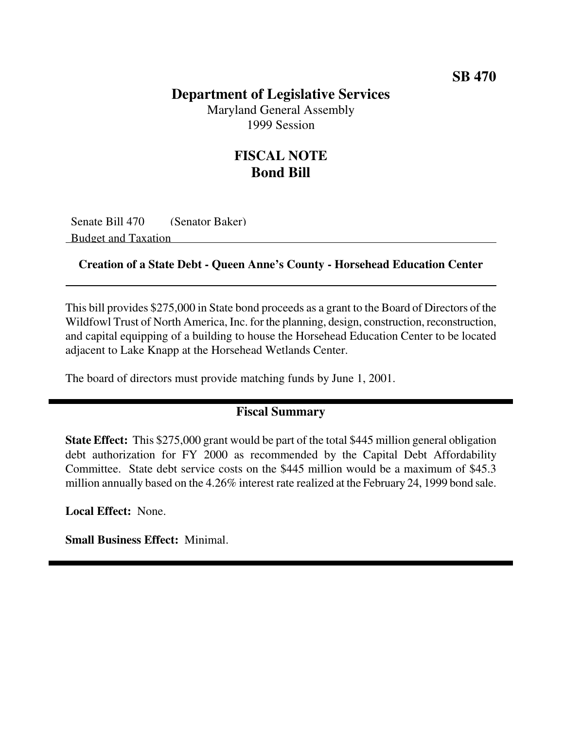### **Department of Legislative Services**

Maryland General Assembly 1999 Session

## **FISCAL NOTE Bond Bill**

Senate Bill 470 (Senator Baker) Budget and Taxation

#### **Creation of a State Debt - Queen Anne's County - Horsehead Education Center**

This bill provides \$275,000 in State bond proceeds as a grant to the Board of Directors of the Wildfowl Trust of North America, Inc. for the planning, design, construction, reconstruction, and capital equipping of a building to house the Horsehead Education Center to be located adjacent to Lake Knapp at the Horsehead Wetlands Center.

The board of directors must provide matching funds by June 1, 2001.

#### **Fiscal Summary**

**State Effect:** This \$275,000 grant would be part of the total \$445 million general obligation debt authorization for FY 2000 as recommended by the Capital Debt Affordability Committee. State debt service costs on the \$445 million would be a maximum of \$45.3 million annually based on the 4.26% interest rate realized at the February 24, 1999 bond sale.

**Local Effect:** None.

**Small Business Effect:** Minimal.